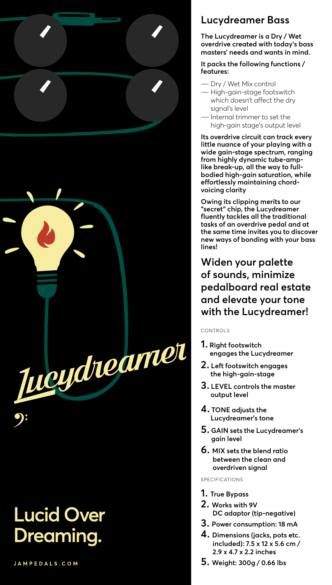

## **Lucid Over Dreaming.**

JAMPEDALS.COM

## **Lucydreamer Bass**

**The Lucydreamer is a Dry / Wet overdrive created with today's bass masters' needs and wants in mind.**

**It packs the following functions / features:**

- ― Dry / Wet Mix control
- ― High-gain-stage footswitch which doesn't affect the dry signal's level
- Internal trimmer to set the high-gain stage's output level

**Its overdrive circuit can track every little nuance of your playing with a wide gain-stage spectrum, ranging from highly dynamic tube-amplike break-up, all the way to fullbodied high-gain saturation, while effortlessly maintaining chordvoicing clarity**

**Owing its clipping merits to our "secret" chip, the Lucydreamer fluently tackles all the traditional tasks of an overdrive pedal and at the same time invites you to discover new ways of bonding with your bass lines!**

**Widen your palette of sounds, minimize pedalboard real estate and elevate your tone with the Lucydreamer!**

CONTROLS

- **1. Right footswitch engages the Lucydreamer**
- **2. Left footswitch engages the high-gain-stage**
- **3. LEVEL controls the master output level**
- **4. TONE adjusts the Lucydreamer's tone**
- **5. GAIN sets the Lucydreamer's gain level**
- **6. MIX sets the blend ratio between the clean and overdriven signal**

SPECIFICATIONS

- **1. True Bypass**
- **2. Works with 9V DC adaptor (tip-negative)**
- **3. Power consumption: 18 mA**
- **4. Dimensions (jacks, pots etc. included): 7.5 x 12 x 5.6 cm / 2.9 x 4.7 x 2.2 inches**
- **5. Weight: 300g / 0.66 lbs**